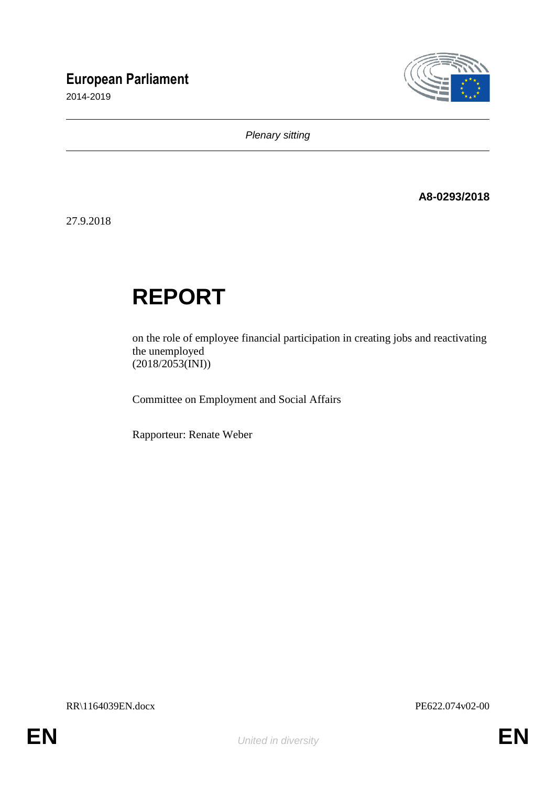## **European Parliament**

2014-2019



*Plenary sitting*

**A8-0293/2018**

27.9.2018

# **REPORT**

on the role of employee financial participation in creating jobs and reactivating the unemployed (2018/2053(INI))

Committee on Employment and Social Affairs

Rapporteur: Renate Weber

RR\1164039EN.docx PE622.074v02-00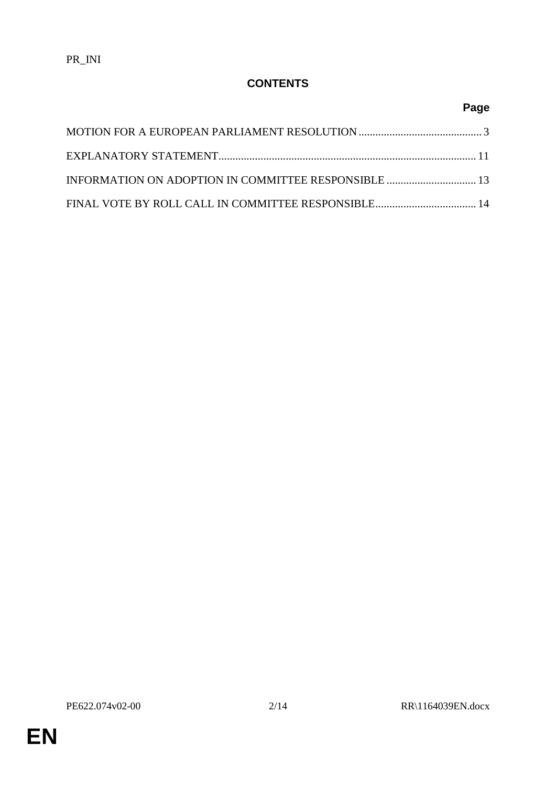#### **CONTENTS**

### **Page**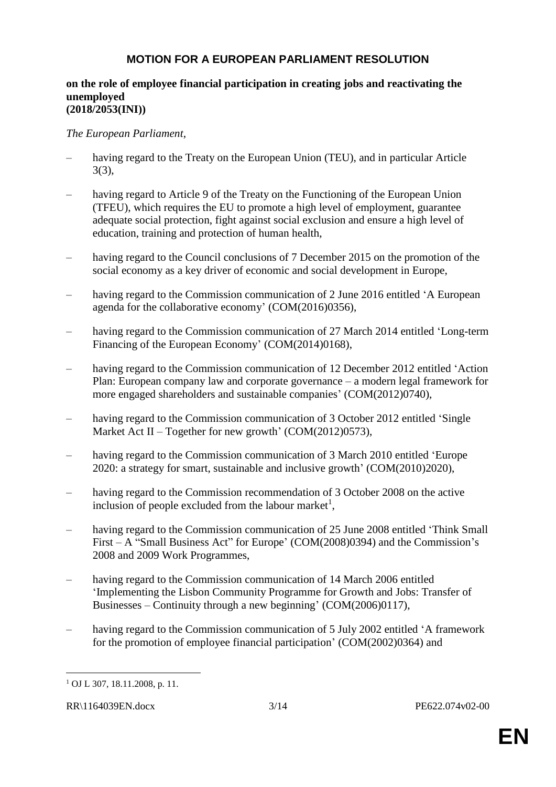#### **MOTION FOR A EUROPEAN PARLIAMENT RESOLUTION**

#### **on the role of employee financial participation in creating jobs and reactivating the unemployed (2018/2053(INI))**

*The European Parliament*,

- having regard to the Treaty on the European Union (TEU), and in particular Article 3(3),
- having regard to Article 9 of the Treaty on the Functioning of the European Union (TFEU), which requires the EU to promote a high level of employment, guarantee adequate social protection, fight against social exclusion and ensure a high level of education, training and protection of human health,
- having regard to the Council conclusions of 7 December 2015 on the promotion of the social economy as a key driver of economic and social development in Europe,
- having regard to the Commission communication of 2 June 2016 entitled 'A European agenda for the collaborative economy' (COM(2016)0356),
- having regard to the Commission communication of 27 March 2014 entitled 'Long-term Financing of the European Economy' (COM(2014)0168),
- having regard to the Commission communication of 12 December 2012 entitled 'Action Plan: European company law and corporate governance – a modern legal framework for more engaged shareholders and sustainable companies' (COM(2012)0740),
- having regard to the Commission communication of 3 October 2012 entitled 'Single Market Act II – Together for new growth' (COM(2012)0573),
- having regard to the Commission communication of 3 March 2010 entitled 'Europe 2020: a strategy for smart, sustainable and inclusive growth' (COM(2010)2020),
- having regard to the Commission recommendation of 3 October 2008 on the active inclusion of people excluded from the labour market<sup>1</sup>,
- having regard to the Commission communication of 25 June 2008 entitled 'Think Small First – A "Small Business Act" for Europe' (COM(2008)0394) and the Commission's 2008 and 2009 Work Programmes,
- having regard to the Commission communication of 14 March 2006 entitled 'Implementing the Lisbon Community Programme for Growth and Jobs: Transfer of Businesses – Continuity through a new beginning' (COM(2006)0117),
- having regard to the Commission communication of 5 July 2002 entitled 'A framework for the promotion of employee financial participation' (COM(2002)0364) and

 $\overline{a}$ <sup>1</sup> OJ L 307, 18.11.2008, p. 11.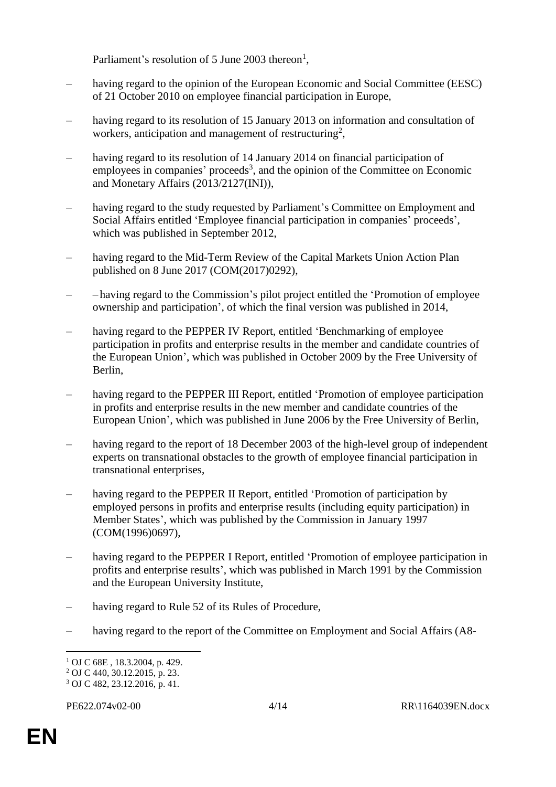Parliament's resolution of 5 June 2003 thereon<sup>1</sup>,

- having regard to the opinion of the European Economic and Social Committee (EESC) of 21 October 2010 on employee financial participation in Europe,
- having regard to its resolution of 15 January 2013 on information and consultation of workers, anticipation and management of restructuring<sup>2</sup>,
- having regard to its resolution of 14 January 2014 on financial participation of employees in companies' proceeds<sup>3</sup>, and the opinion of the Committee on Economic and Monetary Affairs (2013/2127(INI)),
- having regard to the study requested by Parliament's Committee on Employment and Social Affairs entitled 'Employee financial participation in companies' proceeds', which was published in September 2012,
- having regard to the Mid-Term Review of the Capital Markets Union Action Plan published on 8 June 2017 (COM(2017)0292),
- – having regard to the Commission's pilot project entitled the 'Promotion of employee ownership and participation', of which the final version was published in 2014,
- having regard to the PEPPER IV Report, entitled 'Benchmarking of employee participation in profits and enterprise results in the member and candidate countries of the European Union', which was published in October 2009 by the Free University of Berlin,
- having regard to the PEPPER III Report, entitled 'Promotion of employee participation in profits and enterprise results in the new member and candidate countries of the European Union', which was published in June 2006 by the Free University of Berlin,
- having regard to the report of 18 December 2003 of the high-level group of independent experts on transnational obstacles to the growth of employee financial participation in transnational enterprises,
- having regard to the PEPPER II Report, entitled 'Promotion of participation by employed persons in profits and enterprise results (including equity participation) in Member States', which was published by the Commission in January 1997 (COM(1996)0697),
- having regard to the PEPPER I Report, entitled 'Promotion of employee participation in profits and enterprise results', which was published in March 1991 by the Commission and the European University Institute,
- having regard to Rule 52 of its Rules of Procedure,
- having regard to the report of the Committee on Employment and Social Affairs (A8-

 $\overline{a}$ 

<sup>1</sup> OJ C 68E , 18.3.2004, p. 429.

<sup>2</sup> OJ C 440, 30.12.2015, p. 23.

<sup>3</sup> OJ C 482, 23.12.2016, p. 41.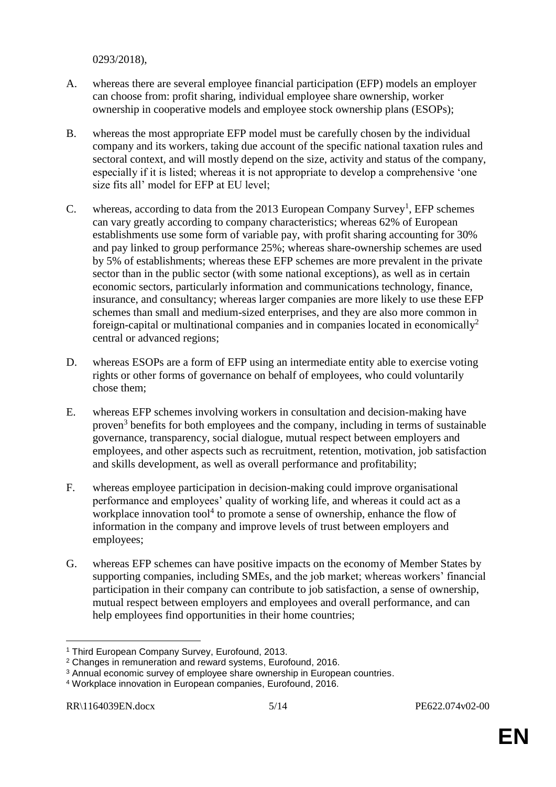0293/2018),

- A. whereas there are several employee financial participation (EFP) models an employer can choose from: profit sharing, individual employee share ownership, worker ownership in cooperative models and employee stock ownership plans (ESOPs);
- B. whereas the most appropriate EFP model must be carefully chosen by the individual company and its workers, taking due account of the specific national taxation rules and sectoral context, and will mostly depend on the size, activity and status of the company, especially if it is listed; whereas it is not appropriate to develop a comprehensive 'one size fits all' model for EFP at EU level;
- C. whereas, according to data from the 2013 European Company Survey<sup>1</sup>, EFP schemes can vary greatly according to company characteristics; whereas 62% of European establishments use some form of variable pay, with profit sharing accounting for 30% and pay linked to group performance 25%; whereas share-ownership schemes are used by 5% of establishments; whereas these EFP schemes are more prevalent in the private sector than in the public sector (with some national exceptions), as well as in certain economic sectors, particularly information and communications technology, finance, insurance, and consultancy; whereas larger companies are more likely to use these EFP schemes than small and medium-sized enterprises, and they are also more common in foreign-capital or multinational companies and in companies located in economically<sup>2</sup> central or advanced regions;
- D. whereas ESOPs are a form of EFP using an intermediate entity able to exercise voting rights or other forms of governance on behalf of employees, who could voluntarily chose them;
- E. whereas EFP schemes involving workers in consultation and decision-making have proven<sup>3</sup> benefits for both employees and the company, including in terms of sustainable governance, transparency, social dialogue, mutual respect between employers and employees, and other aspects such as recruitment, retention, motivation, job satisfaction and skills development, as well as overall performance and profitability;
- F. whereas employee participation in decision-making could improve organisational performance and employees' quality of working life, and whereas it could act as a workplace innovation tool<sup>4</sup> to promote a sense of ownership, enhance the flow of information in the company and improve levels of trust between employers and employees;
- G. whereas EFP schemes can have positive impacts on the economy of Member States by supporting companies, including SMEs, and the job market; whereas workers' financial participation in their company can contribute to job satisfaction, a sense of ownership, mutual respect between employers and employees and overall performance, and can help employees find opportunities in their home countries;

 $\overline{a}$ 

<sup>&</sup>lt;sup>1</sup> Third European Company Survey, Eurofound, 2013.

<sup>2</sup> Changes in remuneration and reward systems, Eurofound, 2016.

<sup>&</sup>lt;sup>3</sup> Annual economic survey of employee share ownership in European countries.

<sup>4</sup> Workplace innovation in European companies, Eurofound, 2016.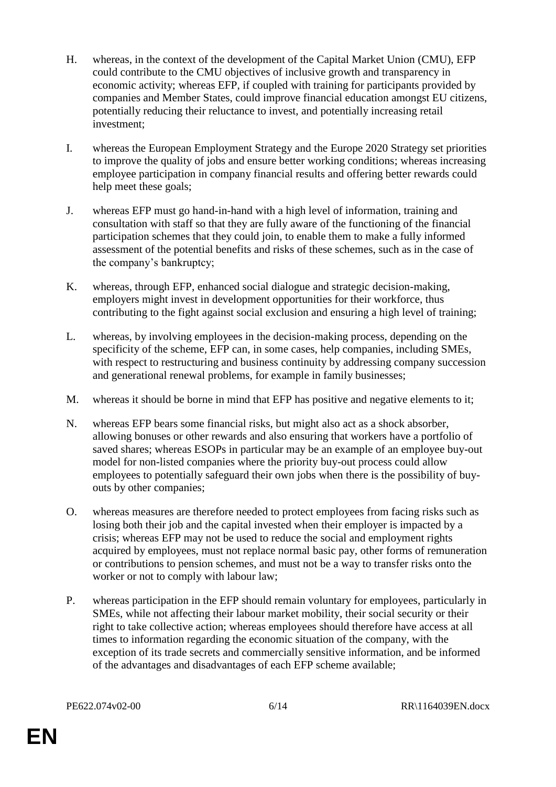- H. whereas, in the context of the development of the Capital Market Union (CMU), EFP could contribute to the CMU objectives of inclusive growth and transparency in economic activity; whereas EFP, if coupled with training for participants provided by companies and Member States, could improve financial education amongst EU citizens, potentially reducing their reluctance to invest, and potentially increasing retail investment;
- I. whereas the European Employment Strategy and the Europe 2020 Strategy set priorities to improve the quality of jobs and ensure better working conditions; whereas increasing employee participation in company financial results and offering better rewards could help meet these goals;
- J. whereas EFP must go hand-in-hand with a high level of information, training and consultation with staff so that they are fully aware of the functioning of the financial participation schemes that they could join, to enable them to make a fully informed assessment of the potential benefits and risks of these schemes, such as in the case of the company's bankruptcy;
- K. whereas, through EFP, enhanced social dialogue and strategic decision-making, employers might invest in development opportunities for their workforce, thus contributing to the fight against social exclusion and ensuring a high level of training;
- L. whereas, by involving employees in the decision-making process, depending on the specificity of the scheme, EFP can, in some cases, help companies, including SMEs, with respect to restructuring and business continuity by addressing company succession and generational renewal problems, for example in family businesses;
- M. whereas it should be borne in mind that EFP has positive and negative elements to it;
- N. whereas EFP bears some financial risks, but might also act as a shock absorber, allowing bonuses or other rewards and also ensuring that workers have a portfolio of saved shares; whereas ESOPs in particular may be an example of an employee buy-out model for non-listed companies where the priority buy-out process could allow employees to potentially safeguard their own jobs when there is the possibility of buyouts by other companies;
- O. whereas measures are therefore needed to protect employees from facing risks such as losing both their job and the capital invested when their employer is impacted by a crisis; whereas EFP may not be used to reduce the social and employment rights acquired by employees, must not replace normal basic pay, other forms of remuneration or contributions to pension schemes, and must not be a way to transfer risks onto the worker or not to comply with labour law;
- P. whereas participation in the EFP should remain voluntary for employees, particularly in SMEs, while not affecting their labour market mobility, their social security or their right to take collective action; whereas employees should therefore have access at all times to information regarding the economic situation of the company, with the exception of its trade secrets and commercially sensitive information, and be informed of the advantages and disadvantages of each EFP scheme available;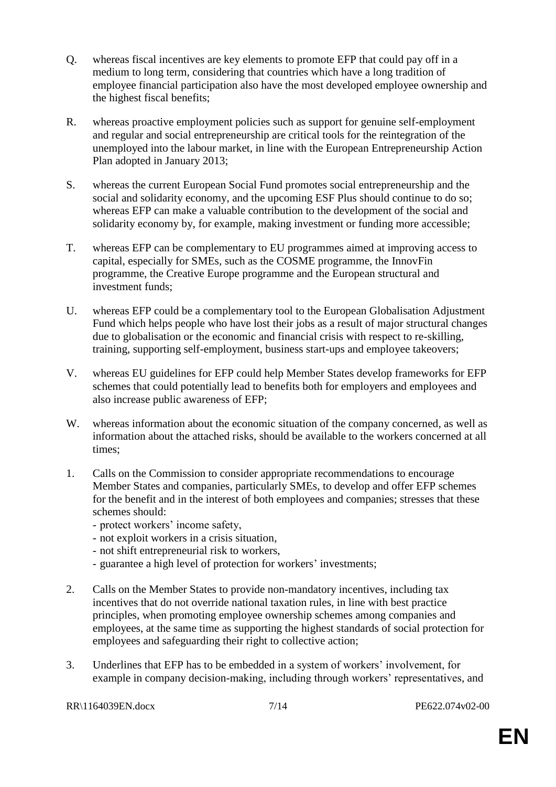- Q. whereas fiscal incentives are key elements to promote EFP that could pay off in a medium to long term, considering that countries which have a long tradition of employee financial participation also have the most developed employee ownership and the highest fiscal benefits;
- R. whereas proactive employment policies such as support for genuine self-employment and regular and social entrepreneurship are critical tools for the reintegration of the unemployed into the labour market, in line with the European Entrepreneurship Action Plan adopted in January 2013;
- S. whereas the current European Social Fund promotes social entrepreneurship and the social and solidarity economy, and the upcoming ESF Plus should continue to do so; whereas EFP can make a valuable contribution to the development of the social and solidarity economy by, for example, making investment or funding more accessible;
- T. whereas EFP can be complementary to EU programmes aimed at improving access to capital, especially for SMEs, such as the COSME programme, the InnovFin programme, the Creative Europe programme and the European structural and investment funds;
- U. whereas EFP could be a complementary tool to the European Globalisation Adjustment Fund which helps people who have lost their jobs as a result of major structural changes due to globalisation or the economic and financial crisis with respect to re-skilling, training, supporting self-employment, business start-ups and employee takeovers;
- V. whereas EU guidelines for EFP could help Member States develop frameworks for EFP schemes that could potentially lead to benefits both for employers and employees and also increase public awareness of EFP;
- W. whereas information about the economic situation of the company concerned, as well as information about the attached risks, should be available to the workers concerned at all times;
- 1. Calls on the Commission to consider appropriate recommendations to encourage Member States and companies, particularly SMEs, to develop and offer EFP schemes for the benefit and in the interest of both employees and companies; stresses that these schemes should:
	- protect workers' income safety,
	- not exploit workers in a crisis situation,
	- not shift entrepreneurial risk to workers,
	- guarantee a high level of protection for workers' investments;
- 2. Calls on the Member States to provide non-mandatory incentives, including tax incentives that do not override national taxation rules, in line with best practice principles, when promoting employee ownership schemes among companies and employees, at the same time as supporting the highest standards of social protection for employees and safeguarding their right to collective action;
- 3. Underlines that EFP has to be embedded in a system of workers' involvement, for example in company decision-making, including through workers' representatives, and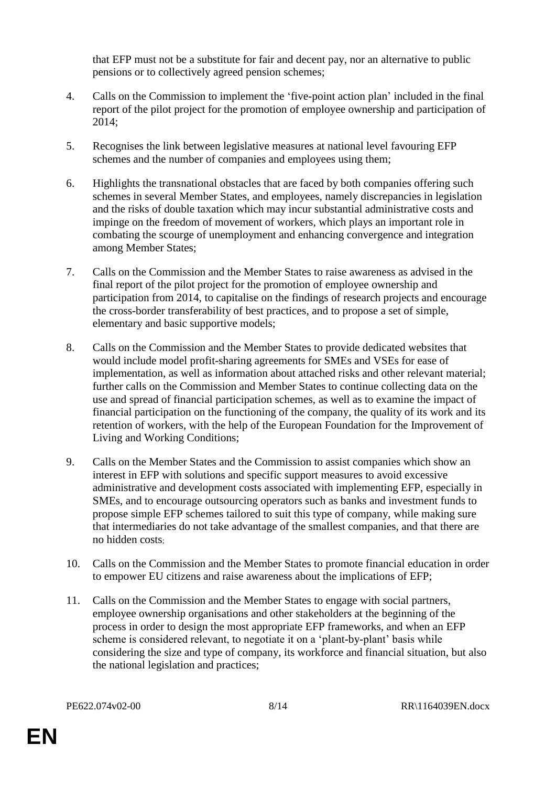that EFP must not be a substitute for fair and decent pay, nor an alternative to public pensions or to collectively agreed pension schemes;

- 4. Calls on the Commission to implement the 'five-point action plan' included in the final report of the pilot project for the promotion of employee ownership and participation of 2014;
- 5. Recognises the link between legislative measures at national level favouring EFP schemes and the number of companies and employees using them;
- 6. Highlights the transnational obstacles that are faced by both companies offering such schemes in several Member States, and employees, namely discrepancies in legislation and the risks of double taxation which may incur substantial administrative costs and impinge on the freedom of movement of workers, which plays an important role in combating the scourge of unemployment and enhancing convergence and integration among Member States;
- 7. Calls on the Commission and the Member States to raise awareness as advised in the final report of the pilot project for the promotion of employee ownership and participation from 2014, to capitalise on the findings of research projects and encourage the cross-border transferability of best practices, and to propose a set of simple, elementary and basic supportive models;
- 8. Calls on the Commission and the Member States to provide dedicated websites that would include model profit-sharing agreements for SMEs and VSEs for ease of implementation, as well as information about attached risks and other relevant material; further calls on the Commission and Member States to continue collecting data on the use and spread of financial participation schemes, as well as to examine the impact of financial participation on the functioning of the company, the quality of its work and its retention of workers, with the help of the European Foundation for the Improvement of Living and Working Conditions;
- 9. Calls on the Member States and the Commission to assist companies which show an interest in EFP with solutions and specific support measures to avoid excessive administrative and development costs associated with implementing EFP, especially in SMEs, and to encourage outsourcing operators such as banks and investment funds to propose simple EFP schemes tailored to suit this type of company, while making sure that intermediaries do not take advantage of the smallest companies, and that there are no hidden costs;
- 10. Calls on the Commission and the Member States to promote financial education in order to empower EU citizens and raise awareness about the implications of EFP;
- 11. Calls on the Commission and the Member States to engage with social partners, employee ownership organisations and other stakeholders at the beginning of the process in order to design the most appropriate EFP frameworks, and when an EFP scheme is considered relevant, to negotiate it on a 'plant-by-plant' basis while considering the size and type of company, its workforce and financial situation, but also the national legislation and practices;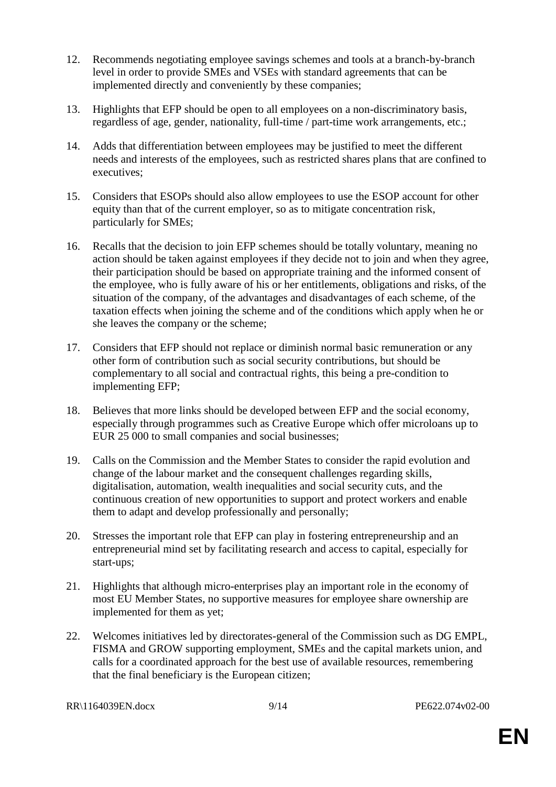- 12. Recommends negotiating employee savings schemes and tools at a branch-by-branch level in order to provide SMEs and VSEs with standard agreements that can be implemented directly and conveniently by these companies;
- 13. Highlights that EFP should be open to all employees on a non-discriminatory basis, regardless of age, gender, nationality, full-time / part-time work arrangements, etc.;
- 14. Adds that differentiation between employees may be justified to meet the different needs and interests of the employees, such as restricted shares plans that are confined to executives;
- 15. Considers that ESOPs should also allow employees to use the ESOP account for other equity than that of the current employer, so as to mitigate concentration risk, particularly for SMEs;
- 16. Recalls that the decision to join EFP schemes should be totally voluntary, meaning no action should be taken against employees if they decide not to join and when they agree, their participation should be based on appropriate training and the informed consent of the employee, who is fully aware of his or her entitlements, obligations and risks, of the situation of the company, of the advantages and disadvantages of each scheme, of the taxation effects when joining the scheme and of the conditions which apply when he or she leaves the company or the scheme;
- 17. Considers that EFP should not replace or diminish normal basic remuneration or any other form of contribution such as social security contributions, but should be complementary to all social and contractual rights, this being a pre-condition to implementing EFP;
- 18. Believes that more links should be developed between EFP and the social economy, especially through programmes such as Creative Europe which offer microloans up to EUR 25 000 to small companies and social businesses;
- 19. Calls on the Commission and the Member States to consider the rapid evolution and change of the labour market and the consequent challenges regarding skills, digitalisation, automation, wealth inequalities and social security cuts, and the continuous creation of new opportunities to support and protect workers and enable them to adapt and develop professionally and personally;
- 20. Stresses the important role that EFP can play in fostering entrepreneurship and an entrepreneurial mind set by facilitating research and access to capital, especially for start-ups;
- 21. Highlights that although micro-enterprises play an important role in the economy of most EU Member States, no supportive measures for employee share ownership are implemented for them as yet;
- 22. Welcomes initiatives led by directorates-general of the Commission such as DG EMPL, FISMA and GROW supporting employment, SMEs and the capital markets union, and calls for a coordinated approach for the best use of available resources, remembering that the final beneficiary is the European citizen;

RR\1164039EN.docx 9/14 PE622.074v02-00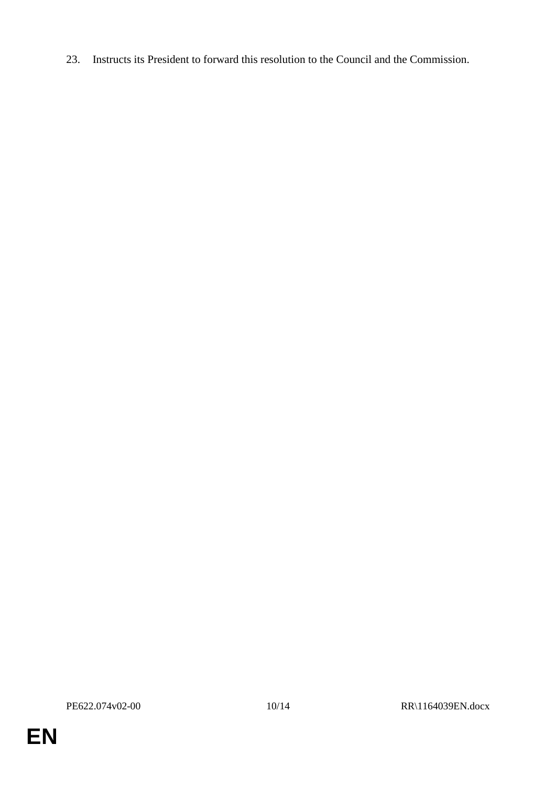23. Instructs its President to forward this resolution to the Council and the Commission.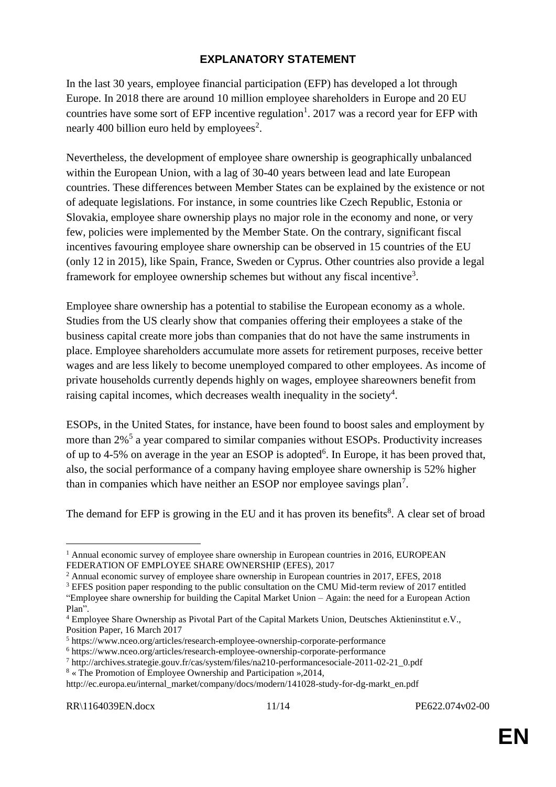#### **EXPLANATORY STATEMENT**

In the last 30 years, employee financial participation (EFP) has developed a lot through Europe. In 2018 there are around 10 million employee shareholders in Europe and 20 EU countries have some sort of EFP incentive regulation<sup>1</sup>. 2017 was a record year for EFP with nearly 400 billion euro held by employees<sup>2</sup>.

Nevertheless, the development of employee share ownership is geographically unbalanced within the European Union, with a lag of 30-40 years between lead and late European countries. These differences between Member States can be explained by the existence or not of adequate legislations. For instance, in some countries like Czech Republic, Estonia or Slovakia, employee share ownership plays no major role in the economy and none, or very few, policies were implemented by the Member State. On the contrary, significant fiscal incentives favouring employee share ownership can be observed in 15 countries of the EU (only 12 in 2015), like Spain, France, Sweden or Cyprus. Other countries also provide a legal framework for employee ownership schemes but without any fiscal incentive<sup>3</sup>.

Employee share ownership has a potential to stabilise the European economy as a whole. Studies from the US clearly show that companies offering their employees a stake of the business capital create more jobs than companies that do not have the same instruments in place. Employee shareholders accumulate more assets for retirement purposes, receive better wages and are less likely to become unemployed compared to other employees. As income of private households currently depends highly on wages, employee shareowners benefit from raising capital incomes, which decreases wealth inequality in the society<sup>4</sup>.

ESOPs, in the United States, for instance, have been found to boost sales and employment by more than 2%<sup>5</sup> a year compared to similar companies without ESOPs. Productivity increases of up to 4-5% on average in the year an ESOP is adopted<sup>6</sup>. In Europe, it has been proved that, also, the social performance of a company having employee share ownership is 52% higher than in companies which have neither an ESOP nor employee savings plan<sup>7</sup>.

The demand for EFP is growing in the EU and it has proven its benefits<sup>8</sup>. A clear set of broad

 $\overline{a}$ 

<sup>&</sup>lt;sup>1</sup> Annual economic survey of employee share ownership in European countries in 2016, EUROPEAN FEDERATION OF EMPLOYEE SHARE OWNERSHIP (EFES), 2017

<sup>&</sup>lt;sup>2</sup> Annual economic survey of employee share ownership in European countries in 2017, EFES, 2018

<sup>&</sup>lt;sup>3</sup> EFES position paper responding to the public consultation on the CMU Mid-term review of 2017 entitled "Employee share ownership for building the Capital Market Union – Again: the need for a European Action Plan".

<sup>4</sup> Employee Share Ownership as Pivotal Part of the Capital Markets Union, Deutsches Aktieninstitut e.V., Position Paper, 16 March 2017

<sup>5</sup> https://www.nceo.org/articles/research-employee-ownership-corporate-performance

<sup>6</sup> https://www.nceo.org/articles/research-employee-ownership-corporate-performance

<sup>7</sup> http://archives.strategie.gouv.fr/cas/system/files/na210-performancesociale-2011-02-21\_0.pdf

<sup>8</sup> « The Promotion of Employee Ownership and Participation »,2014, http://ec.europa.eu/internal\_market/company/docs/modern/141028-study-for-dg-markt\_en.pdf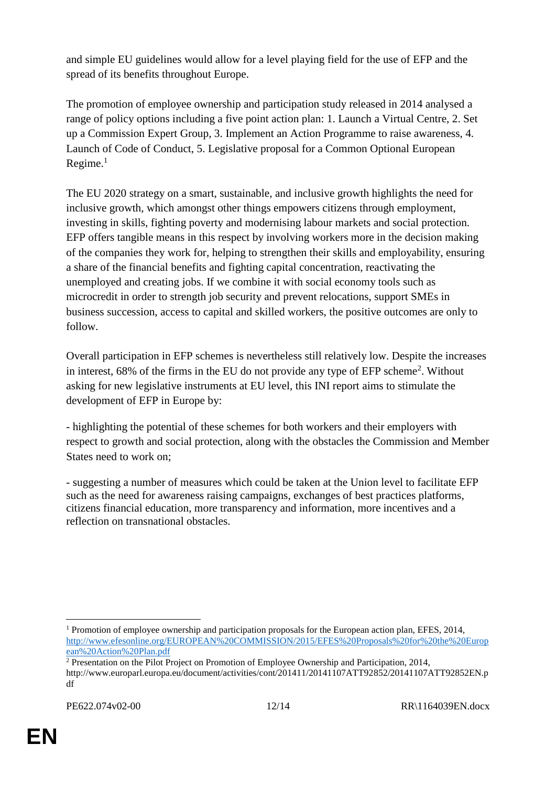and simple EU guidelines would allow for a level playing field for the use of EFP and the spread of its benefits throughout Europe.

The promotion of employee ownership and participation study released in 2014 analysed a range of policy options including a five point action plan: 1. Launch a Virtual Centre, 2. Set up a Commission Expert Group, 3. Implement an Action Programme to raise awareness, 4. Launch of Code of Conduct, 5. Legislative proposal for a Common Optional European  $Recime.<sup>1</sup>$ 

The EU 2020 strategy on a smart, sustainable, and inclusive growth highlights the need for inclusive growth, which amongst other things empowers citizens through employment, investing in skills, fighting poverty and modernising labour markets and social protection. EFP offers tangible means in this respect by involving workers more in the decision making of the companies they work for, helping to strengthen their skills and employability, ensuring a share of the financial benefits and fighting capital concentration, reactivating the unemployed and creating jobs. If we combine it with social economy tools such as microcredit in order to strength job security and prevent relocations, support SMEs in business succession, access to capital and skilled workers, the positive outcomes are only to follow.

Overall participation in EFP schemes is nevertheless still relatively low. Despite the increases in interest,  $68\%$  of the firms in the EU do not provide any type of EFP scheme<sup>2</sup>. Without asking for new legislative instruments at EU level, this INI report aims to stimulate the development of EFP in Europe by:

- highlighting the potential of these schemes for both workers and their employers with respect to growth and social protection, along with the obstacles the Commission and Member States need to work on;

- suggesting a number of measures which could be taken at the Union level to facilitate EFP such as the need for awareness raising campaigns, exchanges of best practices platforms, citizens financial education, more transparency and information, more incentives and a reflection on transnational obstacles.

 $\overline{a}$ <sup>1</sup> Promotion of employee ownership and participation proposals for the European action plan, EFES, 2014, [http://www.efesonline.org/EUROPEAN%20COMMISSION/2015/EFES%20Proposals%20for%20the%20Europ](http://www.efesonline.org/EUROPEAN%20COMMISSION/2015/EFES%20Proposals%20for%20the%20European%20Action%20Plan.pdf) [ean%20Action%20Plan.pdf](http://www.efesonline.org/EUROPEAN%20COMMISSION/2015/EFES%20Proposals%20for%20the%20European%20Action%20Plan.pdf)

<sup>&</sup>lt;sup>2</sup> Presentation on the Pilot Project on Promotion of Employee Ownership and Participation, 2014, http://www.europarl.europa.eu/document/activities/cont/201411/20141107ATT92852/20141107ATT92852EN.p df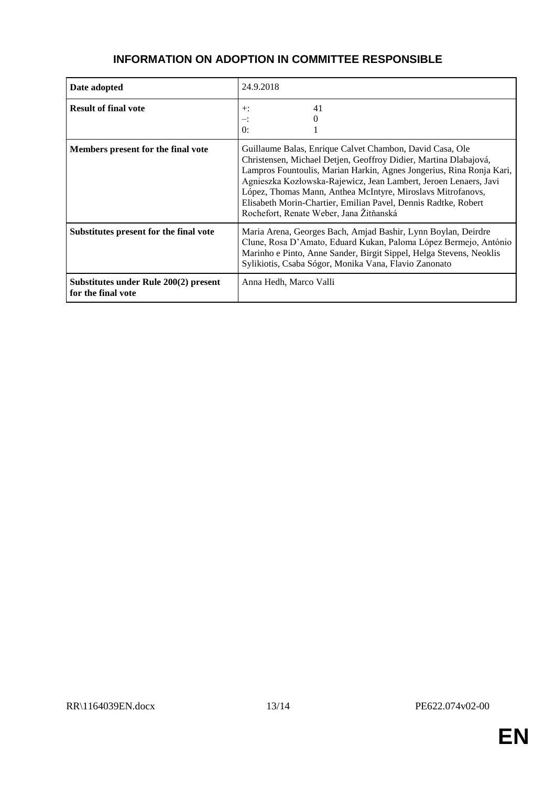#### **INFORMATION ON ADOPTION IN COMMITTEE RESPONSIBLE**

| Date adopted                                                | 24.9.2018                                                                                                                                                                                                                                                                                                                                                                                                                                            |
|-------------------------------------------------------------|------------------------------------------------------------------------------------------------------------------------------------------------------------------------------------------------------------------------------------------------------------------------------------------------------------------------------------------------------------------------------------------------------------------------------------------------------|
| <b>Result of final vote</b>                                 | 41<br>$+$ :<br>≕<br>$\theta$ :                                                                                                                                                                                                                                                                                                                                                                                                                       |
| Members present for the final vote                          | Guillaume Balas, Enrique Calvet Chambon, David Casa, Ole<br>Christensen, Michael Detjen, Geoffroy Didier, Martina Dlabajová,<br>Lampros Fountoulis, Marian Harkin, Agnes Jongerius, Rina Ronja Kari,<br>Agnieszka Kozłowska-Rajewicz, Jean Lambert, Jeroen Lenaers, Javi<br>López, Thomas Mann, Anthea McIntyre, Miroslavs Mitrofanovs,<br>Elisabeth Morin-Chartier, Emilian Pavel, Dennis Radtke, Robert<br>Rochefort, Renate Weber, Jana Žitňanská |
| Substitutes present for the final vote                      | Maria Arena, Georges Bach, Amjad Bashir, Lynn Boylan, Deirdre<br>Clune, Rosa D'Amato, Eduard Kukan, Paloma López Bermejo, António<br>Marinho e Pinto, Anne Sander, Birgit Sippel, Helga Stevens, Neoklis<br>Sylikiotis, Csaba Sógor, Monika Vana, Flavio Zanonato                                                                                                                                                                                    |
| Substitutes under Rule 200(2) present<br>for the final vote | Anna Hedh, Marco Valli                                                                                                                                                                                                                                                                                                                                                                                                                               |